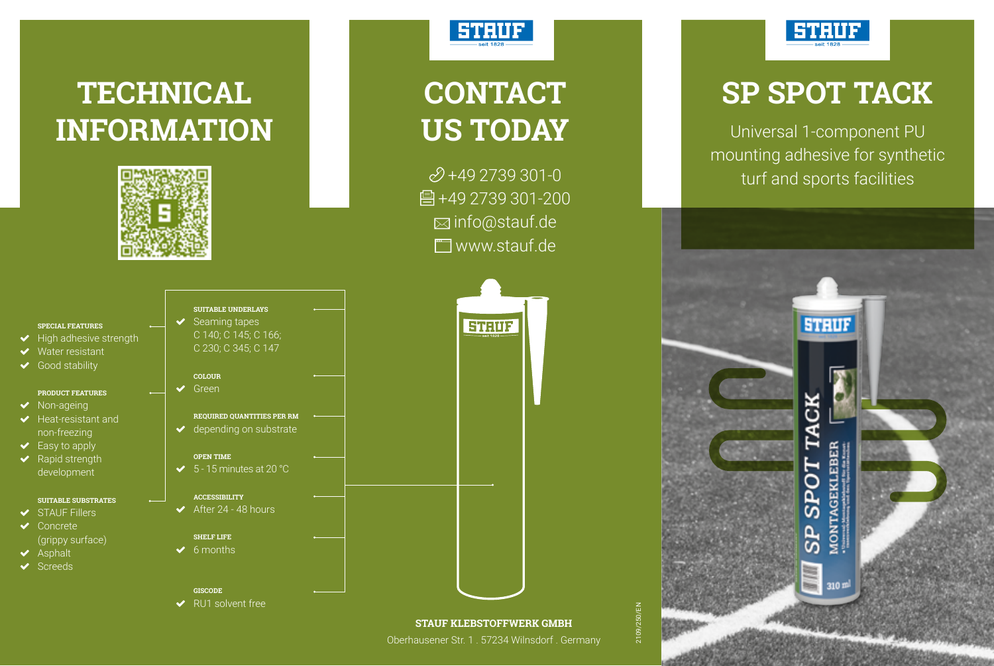



# **CONTACT US TODAY**

 $2+492739301-0$ 骨+49 2739 301-200 info@stauf.de **T**www.stauf.de



Oberhausener Str. 1 . 57234 Wilnsdorf . Germany



### **SP SPOT TACK**

Universal 1-component PU mounting adhesive for synthetic turf and sports facilities